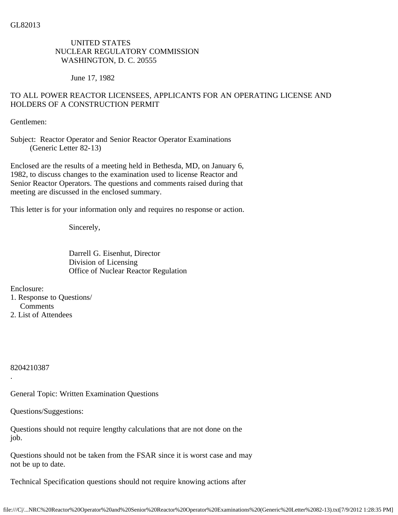## UNITED STATES NUCLEAR REGULATORY COMMISSION WASHINGTON, D. C. 20555

June 17, 1982

# TO ALL POWER REACTOR LICENSEES, APPLICANTS FOR AN OPERATING LICENSE AND HOLDERS OF A CONSTRUCTION PERMIT

Gentlemen:

Subject: Reactor Operator and Senior Reactor Operator Examinations (Generic Letter 82-13)

Enclosed are the results of a meeting held in Bethesda, MD, on January 6, 1982, to discuss changes to the examination used to license Reactor and Senior Reactor Operators. The questions and comments raised during that meeting are discussed in the enclosed summary.

This letter is for your information only and requires no response or action.

Sincerely,

 Darrell G. Eisenhut, Director Division of Licensing Office of Nuclear Reactor Regulation

Enclosure:

1. Response to Questions/ Comments 2. List of Attendees

8204210387

.

General Topic: Written Examination Questions

Questions/Suggestions:

Questions should not require lengthy calculations that are not done on the job.

Questions should not be taken from the FSAR since it is worst case and may not be up to date.

Technical Specification questions should not require knowing actions after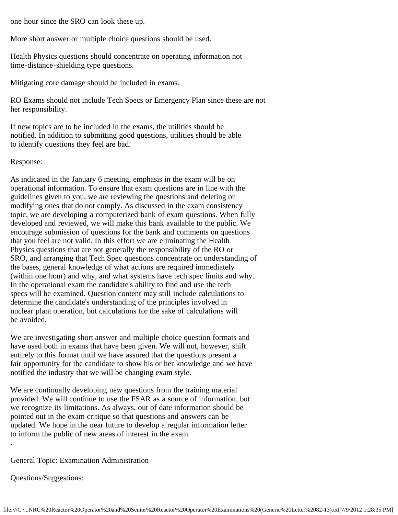one hour since the SRO can look these up.

More short answer or multiple choice questions should be used.

Health Physics questions should concentrate on operating information not time-distance-shielding type questions.

Mitigating core damage should be included in exams.

RO Exams should not include Tech Specs or Emergency Plan since these are not her responsibility.

If new topics are to be included in the exams, the utilities should be notified. In addition to submitting good questions, utilities should be able to identify questions they feel are bad.

#### Response:

As indicated in the January 6 meeting, emphasis in the exam will be on operational information. To ensure that exam questions are in line with the guidelines given to you, we are reviewing the questions and deleting or modifying ones that do not comply. As discussed in the exam consistency topic, we are developing a computerized bank of exam questions. When fully developed and reviewed, we will make this bank available to the public. We encourage submission of questions for the bank and comments on questions that you feel are not valid. In this effort we are eliminating the Health Physics questions that are not generally the responsibility of the RO or SRO, and arranging that Tech Spec questions concentrate on understanding of the bases, general knowledge of what actions are required immediately (within one hour) and why, and what systems have tech spec limits and why. In the operational exam the candidate's ability to find and use the tech specs will be examined. Question content may still include calculations to determine the candidate's understanding of the principles involved in nuclear plant operation, but calculations for the sake of calculations will be avoided.

We are investigating short answer and multiple choice question formats and have used both in exams that have been given. We will not, however, shift entirely to this format until we have assured that the questions present a fair opportunity for the candidate to show his or her knowledge and we have notified the industry that we will be changing exam style.

We are continually developing new questions from the training material provided. We will continue to use the FSAR as a source of information, but we recognize its limitations. As always, out of date information should be pointed out in the exam critique so that questions and answers can be updated. We hope in the near future to develop a regular information letter to inform the public of new areas of interest in the exam.

General Topic: Examination Administration

Questions/Suggestions:

.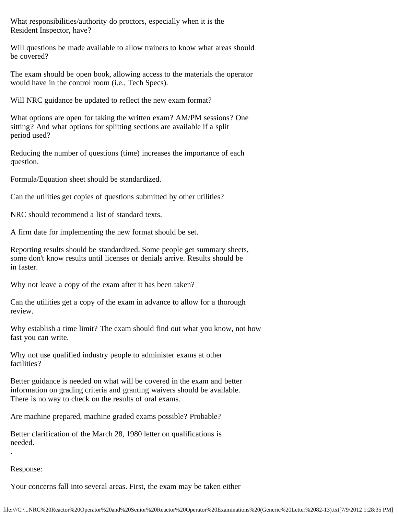What responsibilities/authority do proctors, especially when it is the Resident Inspector, have?

Will questions be made available to allow trainers to know what areas should be covered?

The exam should be open book, allowing access to the materials the operator would have in the control room (i.e., Tech Specs).

Will NRC guidance be updated to reflect the new exam format?

What options are open for taking the written exam? AM/PM sessions? One sitting? And what options for splitting sections are available if a split period used?

Reducing the number of questions (time) increases the importance of each question.

Formula/Equation sheet should be standardized.

Can the utilities get copies of questions submitted by other utilities?

NRC should recommend a list of standard texts.

A firm date for implementing the new format should be set.

Reporting results should be standardized. Some people get summary sheets, some don't know results until licenses or denials arrive. Results should be in faster.

Why not leave a copy of the exam after it has been taken?

Can the utilities get a copy of the exam in advance to allow for a thorough review.

Why establish a time limit? The exam should find out what you know, not how fast you can write.

Why not use qualified industry people to administer exams at other facilities?

Better guidance is needed on what will be covered in the exam and better information on grading criteria and granting waivers should be available. There is no way to check on the results of oral exams.

Are machine prepared, machine graded exams possible? Probable?

Better clarification of the March 28, 1980 letter on qualifications is needed.

## Response:

.

Your concerns fall into several areas. First, the exam may be taken either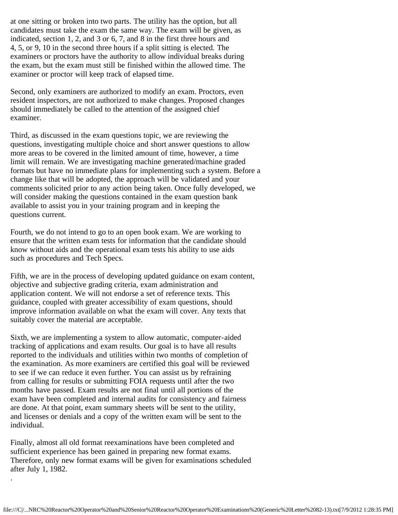at one sitting or broken into two parts. The utility has the option, but all candidates must take the exam the same way. The exam will be given, as indicated, section 1, 2, and 3 or 6, 7, and 8 in the first three hours and 4, 5, or 9, 10 in the second three hours if a split sitting is elected. The examiners or proctors have the authority to allow individual breaks during the exam, but the exam must still be finished within the allowed time. The examiner or proctor will keep track of elapsed time.

Second, only examiners are authorized to modify an exam. Proctors, even resident inspectors, are not authorized to make changes. Proposed changes should immediately be called to the attention of the assigned chief examiner.

Third, as discussed in the exam questions topic, we are reviewing the questions, investigating multiple choice and short answer questions to allow more areas to be covered in the limited amount of time, however, a time limit will remain. We are investigating machine generated/machine graded formats but have no immediate plans for implementing such a system. Before a change like that will be adopted, the approach will be validated and your comments solicited prior to any action being taken. Once fully developed, we will consider making the questions contained in the exam question bank available to assist you in your training program and in keeping the questions current.

Fourth, we do not intend to go to an open book exam. We are working to ensure that the written exam tests for information that the candidate should know without aids and the operational exam tests his ability to use aids such as procedures and Tech Specs.

Fifth, we are in the process of developing updated guidance on exam content, objective and subjective grading criteria, exam administration and application content. We will not endorse a set of reference texts. This guidance, coupled with greater accessibility of exam questions, should improve information available on what the exam will cover. Any texts that suitably cover the material are acceptable.

Sixth, we are implementing a system to allow automatic, computer-aided tracking of applications and exam results. Our goal is to have all results reported to the individuals and utilities within two months of completion of the examination. As more examiners are certified this goal will be reviewed to see if we can reduce it even further. You can assist us by refraining from calling for results or submitting FOIA requests until after the two months have passed. Exam results are not final until all portions of the exam have been completed and internal audits for consistency and fairness are done. At that point, exam summary sheets will be sent to the utility, and licenses or denials and a copy of the written exam will be sent to the individual.

Finally, almost all old format reexaminations have been completed and sufficient experience has been gained in preparing new format exams. Therefore, only new format exams will be given for examinations scheduled after July 1, 1982.

.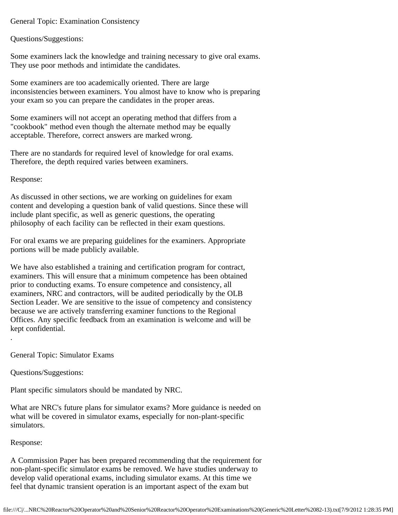General Topic: Examination Consistency

Questions/Suggestions:

Some examiners lack the knowledge and training necessary to give oral exams. They use poor methods and intimidate the candidates.

Some examiners are too academically oriented. There are large inconsistencies between examiners. You almost have to know who is preparing your exam so you can prepare the candidates in the proper areas.

Some examiners will not accept an operating method that differs from a "cookbook" method even though the alternate method may be equally acceptable. Therefore, correct answers are marked wrong.

There are no standards for required level of knowledge for oral exams. Therefore, the depth required varies between examiners.

Response:

As discussed in other sections, we are working on guidelines for exam content and developing a question bank of valid questions. Since these will include plant specific, as well as generic questions, the operating philosophy of each facility can be reflected in their exam questions.

For oral exams we are preparing guidelines for the examiners. Appropriate portions will be made publicly available.

We have also established a training and certification program for contract, examiners. This will ensure that a minimum competence has been obtained prior to conducting exams. To ensure competence and consistency, all examiners, NRC and contractors, will be audited periodically by the OLB Section Leader. We are sensitive to the issue of competency and consistency because we are actively transferring examiner functions to the Regional Offices. Any specific feedback from an examination is welcome and will be kept confidential. .

General Topic: Simulator Exams

Questions/Suggestions:

Plant specific simulators should be mandated by NRC.

What are NRC's future plans for simulator exams? More guidance is needed on what will be covered in simulator exams, especially for non-plant-specific simulators.

Response:

A Commission Paper has been prepared recommending that the requirement for non-plant-specific simulator exams be removed. We have studies underway to develop valid operational exams, including simulator exams. At this time we feel that dynamic transient operation is an important aspect of the exam but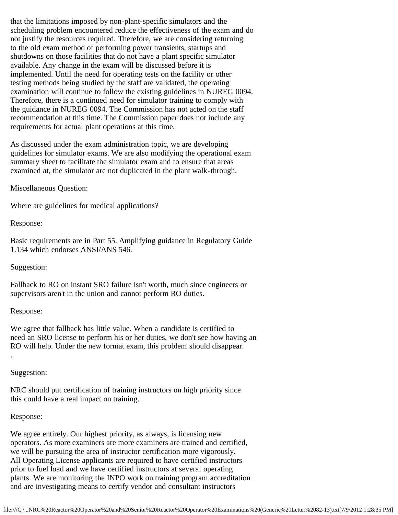that the limitations imposed by non-plant-specific simulators and the scheduling problem encountered reduce the effectiveness of the exam and do not justify the resources required. Therefore, we are considering returning to the old exam method of performing power transients, startups and shutdowns on those facilities that do not have a plant specific simulator available. Any change in the exam will be discussed before it is implemented. Until the need for operating tests on the facility or other testing methods being studied by the staff are validated, the operating examination will continue to follow the existing guidelines in NUREG 0094. Therefore, there is a continued need for simulator training to comply with the guidance in NUREG 0094. The Commission has not acted on the staff recommendation at this time. The Commission paper does not include any requirements for actual plant operations at this time.

As discussed under the exam administration topic, we are developing guidelines for simulator exams. We are also modifying the operational exam summary sheet to facilitate the simulator exam and to ensure that areas examined at, the simulator are not duplicated in the plant walk-through.

Miscellaneous Question:

Where are guidelines for medical applications?

Response:

Basic requirements are in Part 55. Amplifying guidance in Regulatory Guide 1.134 which endorses ANSI/ANS 546.

Suggestion:

Fallback to RO on instant SRO failure isn't worth, much since engineers or supervisors aren't in the union and cannot perform RO duties.

Response:

We agree that fallback has little value. When a candidate is certified to need an SRO license to perform his or her duties, we don't see how having an RO will help. Under the new format exam, this problem should disappear.

Suggestion:

.

NRC should put certification of training instructors on high priority since this could have a real impact on training.

## Response:

We agree entirely. Our highest priority, as always, is licensing new operators. As more examiners are more examiners are trained and certified, we will be pursuing the area of instructor certification more vigorously. All Operating License applicants are required to have certified instructors prior to fuel load and we have certified instructors at several operating plants. We are monitoring the INPO work on training program accreditation and are investigating means to certify vendor and consultant instructors